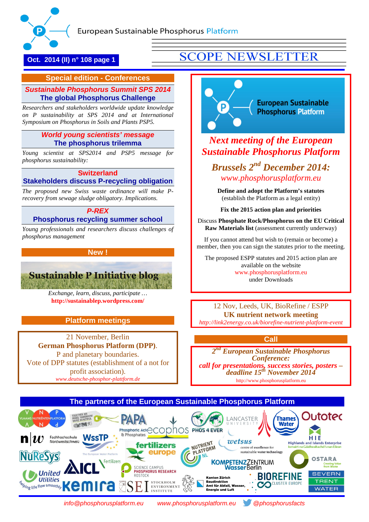

**Oct. 2014 (II) n° 108 page 1**

# **SCOPE NEWSLETTER**

### **Special edition - Conferences**

### *[Sustainable Phosphorus Summit SPS 2014](#page-1-0)* **[The global Phosphorus Challenge](#page-1-0)**

 *on P sustainability at SPS 2014 and at International Researchers and stakeholders worldwide update knowledge Symposium on Phosphorus in Soils and Plants PSP5.*

### *[World young scientists' message](#page-7-0)* **[The phosphorus trilemma](#page-7-0)**

*Young scientist at SPS2014 and PSP5 message for phosphorus sustainability:*

### **[Switzerland](#page-7-1) [Stakeholders discuss P-recycling obligation](#page-7-1)**

*The proposed new Swiss waste ordinance will make Precovery from sewage sludge obligatory. Implications.*

### *[P-REX](#page-10-0)*  **[Phosphorus recycling summer school](#page-10-0)**

*Young professionals and researchers discuss challenges of phosphorus management*

### **New !**



*Exchange, learn, discuss, participate …* **<http://sustainablep.wordpress.com/>**

### **Platform meetings**

21 November, Berlin **German Phosphorus Platform (DPP)**. P and planetary boundaries. Vote of DPP statutes (establishment of a not for profit association). *[www.deutsche-phosphor-plattform.de](http://www.deutsche-phosphor-plattform.de/)*

**European Sustainable** P **Phosphorus Platform** 

# *Next meeting of the European Sustainable Phosphorus Platform*

*Brussels 2nd December 2014: [www.phosphorusplatform.eu](http://www.phosphorusplatform.eu/)*

**Define and adopt the Platform's statutes** (establish the Platform as a legal entity)

**Fix the 2015 action plan and priorities**

Discuss **Phosphate Rock/Phosphorus on the EU Critical Raw Materials list** (assessment currently underway)

If you cannot attend but wish to (remain or become) a member, then you can sign the statutes prior to the meeting.

The proposed ESPP statutes and 2015 action plan are available on the website [www.phosphorusplatform.eu](http://www.phosphorusplatform.eu/) under Downloads

12 Nov, Leeds, UK, BioRefine / ESPP **UK nutrient network meeting** *<http://link2energy.co.uk/biorefine-nutrient-platform-event>*

### **Call**

*2nd European Sustainable Phosphorus Conference: call for presentations, success stories, posters – deadline 15th November 2014* [http://www.phosphorusplatform.eu](http://www.phosphorusplatform.eu/)



*[info@phosphorusplatform.eu](mailto:info@phosphorusplatform.eu) [www.phosphorusplatform.eu](http://www.phosphorusplatform.eu/) [@phosphorusfacts](https://twitter.com/phosphorusfacts)*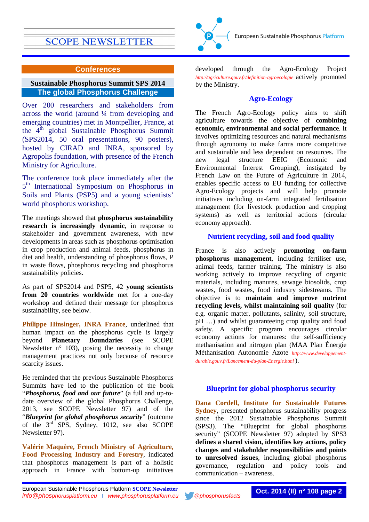### **Conferences**

### <span id="page-1-0"></span>**Sustainable Phosphorus Summit SPS 2014 The global Phosphorus Challenge**

Over 200 researchers and stakeholders from across the world (around ¼ from developing and emerging countries) met in Montpellier, France, at the 4th global Sustainable Phosphorus Summit (SPS2014, 50 oral presentations, 90 posters), hosted by CIRAD and INRA, sponsored by Agropolis foundation, with presence of the French Ministry for Agriculture.

The conference took place immediately after the 5<sup>th</sup> International Symposium on Phosphorus in Soils and Plants (PSP5) and a young scientists' world phosphorus workshop.

The meetings showed that **phosphorus sustainability research is increasingly dynamic**, in response to stakeholder and government awareness, with new developments in areas such as phosphorus optimisation in crop production and animal feeds, phosphorus in diet and health, understanding of phosphorus flows, P in waste flows, phosphorus recycling and phosphorus sustainability policies.

As part of SPS2014 and PSP5, 42 **young scientists from 20 countries worldwide** met for a one-day workshop and defined their message for phosphorus sustainability, see below.

**Philippe Hinsinger, INRA France**, underlined that human impact on the phosphorus cycle is largely beyond **Planetary Boundaries** (see SCOPE Newsletter  $n^{\circ}$  103), posing the necessity to change management practices not only because of resource scarcity issues.

He reminded that the previous Sustainable Phosphorus Summits have led to the publication of the book "*Phosphorus, food and our future*" (a full and up-todate overview of the global Phosphorus Challenge, 2013, see SCOPE Newsletter 97) and of the "*Blueprint for global phosphorus security*" (outcome of the 3rd SPS, Sydney, 1012, see also SCOPE Newsletter 97).

**Valérie Maquère, French Ministry of Agriculture, Food Processing Industry and Forestry**, indicated that phosphorus management is part of a holistic approach in France with bottom-up initiatives



European Sustainable Phosphorus Platform

### **Agro-Ecology**

The French Agro-Ecology policy aims to shift agriculture towards the objective of **combining economic, environmental and social performance**. It involves optimizing resources and natural mechanisms through agronomy to make farms more competitive and sustainable and less dependent on resources. The new legal structure EEIG (Economic and Environmental Interest Grouping), instigated by French Law on the Future of Agriculture in 2014, enables specific access to EU funding for collective Agro-Ecology projects and will help promote initiatives including on-farm integrated fertilisation management (for livestock production and cropping systems) as well as territorial actions (circular economy approach).

### **Nutrient recycling, soil and food quality**

France is also actively **promoting on-farm phosphorus management**, including fertiliser use, animal feeds, farmer training. The ministry is also working actively to improve recycling of organic materials, including manures, sewage biosolids, crop wastes, food wastes, food industry sidestreams. The objective is to **maintain and improve nutrient recycling levels, whilst maintaining soil quality** (for e.g. organic matter, pollutants, salinity, soil structure, pH …) and whilst guaranteeing crop quality and food safety. A specific program encourages circular economy actions for manures: the self-sufficiency methanisation and nitrogen plan (MAA Plan Énergie Méthanisation Autonomie Azote *[http://www.developpement](http://www.developpement-durable.gouv.fr/Lancement-du-plan-Energie.html)[durable.gouv.fr/Lancement-du-plan-Energie.html](http://www.developpement-durable.gouv.fr/Lancement-du-plan-Energie.html)* ).

### **Blueprint for global phosphorus security**

**Dana Cordell, Institute for Sustainable Futures Sydney**, presented phosphorus sustainability progress since the 2012 Sustainable Phosphorus Summit (SPS3). The "Blueprint for global phosphorus security" (SCOPE Newsletter 97) adopted by SPS3 **defines a shared vision, identifies key actions, policy changes and stakeholder responsibilities and points to unresolved issues**, including global phosphorus governance, regulation and policy tools and communication – awareness.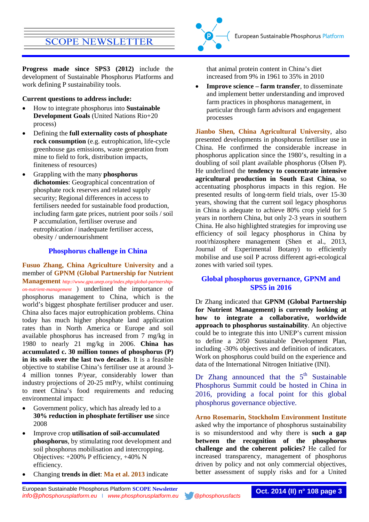**Progress made since SPS3 (2012)** include the development of Sustainable Phosphorus Platforms and work defining P sustainability tools.

**Current questions to address include:**

- How to integrate phosphorus into **Sustainable Development Goals** (United Nations Rio+20 process)
- Defining the **full externality costs of phosphate rock consumption** (e.g. eutrophication, life-cycle greenhouse gas emissions, waste generation from mine to field to fork, distribution impacts, finiteness of resources)
- Grappling with the many **phosphorus dichotomies**: Geographical concentration of phosphate rock reserves and related supply security; Regional differences in access to fertilisers needed for sustainable food production, including farm gate prices, nutrient poor soils / soil P accumulation, fertiliser overuse and eutrophication / inadequate fertiliser access, obesity / undernourishment

### **Phosphorus challenge in China**

**Fusuo Zhang, China Agriculture University** and a member of **GPNM (Global Partnership for Nutrient Management** *[http://www.gpa.unep.org/index.php/global-partnership](http://www.gpa.unep.org/index.php/global-partnership-on-nutrient-management)[on-nutrient-management](http://www.gpa.unep.org/index.php/global-partnership-on-nutrient-management)* ) underlined the importance of phosphorus management to China, which is the world's biggest phosphate fertiliser producer and user. China also faces major eutrophication problems. China today has much higher phosphate land application rates than in North America or Europe and soil available phosphorus has increased from 7 mg/kg in 1980 to nearly 21 mg/kg in 2006. **China has accumulated c. 30 million tonnes of phosphorus (P) in its soils over the last two decades**. It is a feasible objective to stabilise China's fertiliser use at around 3- 4 million tonnes P/year, considerably lower than industry projections of 20-25 mtP/y, whilst continuing to meet China's food requirements and reducing environmental impact:

- Government policy, which has already led to a **30% reduction in phosphate fertiliser use** since 2008
- Improve crop **utilisation of soil-accumulated phosphorus**, by stimulating root development and soil phosphorus mobilisation and intercropping. Objectives: +200% P efficiency, +40% N efficiency.
- Changing **trends in diet**: **Ma et al. 2013** indicate

that animal protein content in China's diet increased from 9% in 1961 to 35% in 2010

• **Improve science – farm transfer**, to disseminate and implement better understanding and improved farm practices in phosphorus management, in particular through farm advisors and engagement processes

**Jianbo Shen, China Agricultural University**, also presented developments in phosphorus fertiliser use in China. He confirmed the considerable increase in phosphorus application since the 1980's, resulting in a doubling of soil plant available phosphorus (Olsen P). He underlined the **tendency to concentrate intensive agricultural production in South East China**, so accentuating phosphorus impacts in this region. He presented results of long-term field trials, over 15-30 years, showing that the current soil legacy phosphorus in China is adequate to achieve 80% crop yield for 5 years in northern China, but only 2-3 years in southern China. He also highlighted strategies for improving use efficiency of soil legacy phosphorus in China by root/rhizosphere management (Shen et al., 2013, Journal of Experimental Botany) to efficiently mobilise and use soil P across different agri-ecological zones with varied soil types.

### **Global phosphorus governance, GPNM and SPS5 in 2016**

Dr Zhang indicated that **GPNM (Global Partnership for Nutrient Management) is currently looking at how to integrate a collaborative, worldwide approach to phosphorus sustainability**. An objective could be to integrate this into UNEP's current mission to define a 2050 Sustainable Development Plan, including -30% objectives and definition of indicators. Work on phosphorus could build on the experience and data of the International Nitrogen Initiative (INI).

Dr Zhang announced that the  $5<sup>th</sup>$  Sustainable Phosphorus Summit could be hosted in China in 2016, providing a focal point for this global phosphorus governance objective.

**Arno Rosemarin, Stockholm Environment Institute** asked why the importance of phosphorus sustainability is so misunderstood and why there is **such a gap between the recognition of the phosphorus challenge and the coherent policies?** He called for increased transparency, management of phosphorus driven by policy and not only commercial objectives, better assessment of supply risks and for a United

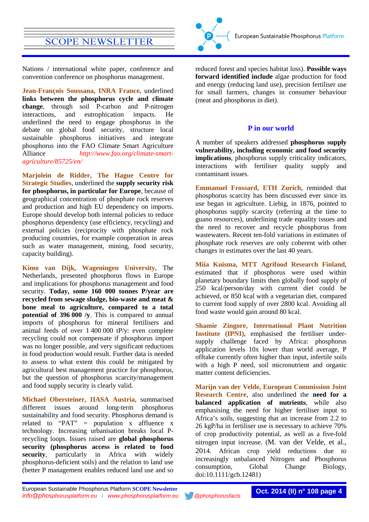

**Jean-François Soussana, INRA France,** underlined **links between the phosphorus cycle and climate change**, through soil P-carbon and P-nitrogen interactions, and eutrophication impacts. He underlined the need to engage phosphorus in the debate on global food security, structure local sustainable phosphorus initiatives and integrate phosphorus into the FAO Climate Smart Agriculture Alliance *[http://www.fao.org/climate-smart](http://www.fao.org/climate-smart-agriculture/85725/en/)[agriculture/85725/en/](http://www.fao.org/climate-smart-agriculture/85725/en/)*

**Marjolein de Ridder, The Hague Centre for Strategic Studies**, underlined the **supply security risk for phosphorus, in particular for Europe**, because of geographical concentration of phosphate rock reserves and production and high EU dependency on imports. Europe should develop both internal policies to reduce phosphorus dependency (use efficiency, recycling) and external policies (reciprocity with phosphate rock producing countries, for example cooperation in areas such as water management, mining, food security, capacity building).

**Kimo van Dijk, Wageningen University,** The Netherlands, presented phosphorus flows in Europe and implications for phosphorus management and food security. **Today, some 160 000 tonnes P/year are recycled from sewage sludge, bio-waste and meat & bone meal to agriculture, compared to a total potential of 396 000 /y**. This is compared to annual imports of phosphorus for mineral fertilisers and animal feeds of over 1 400 000 tP/y: even complete recycling could not compensate if phosphorus import was no longer possible, and very significant reductions in food production would result. Further data is needed to assess to what extent this could be mitigated by agricultural best management practice for phosphorus, but the question of phosphorus scarcity/management and food supply security is clearly valid.

**Michael Obersteiner, IIASA Austria**, summarised different issues around long-term phosphorus sustainability and food security. Phosphorus demand is related to "PAT" = population x affluence x technology. Increasing urbanisation breaks local Precycling loops. Issues raised are **global phosphorus security (phosphorus access is related to food security**, particularly in Africa with widely phosphorus-deficient soils) and the relation to land use (better P management enables reduced land use and so



reduced forest and species habitat loss). **Possible ways forward identified include** algae production for food and energy (reducing land use), precision fertiliser use for small farmers, changes in consumer behaviour (meat and phosphorus in diet).

### **P in our world**

A number of speakers addressed **phosphorus supply vulnerability, including economic and food security implications**, phosphorus supply criticality indicators, interactions with fertiliser quality supply and contaminant issues.

**Emmanuel Frossard, ETH Zurich**, reminded that phosphorus scarcity has been discussed ever since its use began in agriculture. Liebig, in 1876, pointed to phosphorus supply scarcity (referring at the time to guano resources), underlining trade equality issues and the need to recover and recycle phosphorus from wastewaters. Recent ten-fold variations in estimates of phosphate rock reserves are only coherent with other changes in estimates over the last 40 years.

**Miia Kuisma, MTT Agrifood Research Finland**, estimated that if phosphorus were used within planetary boundary limits then globally food supply of 250 kcal/person/day with current diet could be achieved, or 850 kcal with a vegetarian diet, compared to current food supply of over 2800 kcal. Avoiding all food waste would gain around 80 kcal.

**Shamie Zingore, International Plant Nutrition Institute (IPNI),** emphasised the fertiliser undersupply challenge faced by Africa: phosphorus application levels 10x lower than world average, P offtake currently often higher than input, infertile soils with a high P need, soil micronutrient and organic matter content deficiencies.

**Marijn van der Velde, European Commission Joint Research Centre**, also underlined the **need for a balanced application of nutrients**, while also emphasising the need for higher fertiliser input to Africa's soils, suggesting that an increase from 2.2 to 26 kgP/ha in fertiliser use is necessary to achieve 70% of crop productivity potential, as well as a five-fold nitrogen input increase. (M. van der Velde, et al., 2014. African crop yield reductions due to increasingly unbalanced Nitrogen and Phosphorus consumption, Global Change Biology, doi:10.1111/gcb.12481)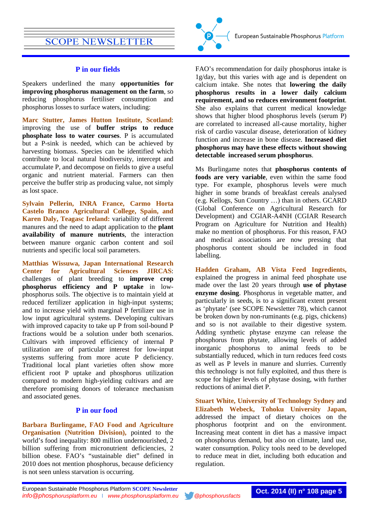### **P in our fields**

Speakers underlined the many **opportunities for improving phosphorus management on the farm**, so reducing phosphorus fertiliser consumption and phosphorus losses to surface waters, including:

**Marc Stutter, James Hutton Institute, Scotland**: improving the use of **buffer strips to reduce phosphate loss to water courses**. P is accumulated but a P-sink is needed, which can be achieved by harvesting biomass. Species can be identified which contribute to local natural biodiversity, intercept and accumulate P, and decompose on fields to give a useful organic and nutrient material. Farmers can then perceive the buffer strip as producing value, not simply as lost space.

**Sylvain Pellerin, INRA France, Carmo Horta Castelo Branco Agricultural College, Spain, and Karen Daly, Teagasc Ireland:** variability of different manures and the need to adapt application to the **plant availability of manure nutrients**, the interaction between manure organic carbon content and soil nutrients and specific local soil parameters.

**Matthias Wissuwa, Japan International Research Center for Agricultural Sciences JIRCAS**: challenges of plant breeding to **improve crop phosphorus efficiency and P uptake** in lowphosphorus soils. The objective is to maintain yield at reduced fertilizer application in high-input systems; and to increase yield with marginal P fertilizer use in low input agricultural systems. Developing cultivars with improved capacity to take up P from soil-bound P fractions would be a solution under both scenarios. Cultivars with improved efficiency of internal P utilization are of particular interest for low-input systems suffering from more acute P deficiency. Traditional local plant varieties often show more efficient root P uptake and phosphorus utilization compared to modern high-yielding cultivars and are therefore promising donors of tolerance mechanism and associated genes.

### **P in our food**

**Barbara Burlingame, FAO Food and Agriculture Organisation (Nutrition Division),** pointed to the world's food inequality: 800 million undernourished, 2 billion suffering from micronutrient deficiencies, 2 billion obese. FAO's "sustainable diet" defined in 2010 does not mention phosphorus, because deficiency is not seen unless starvation is occurring.



FAO's recommendation for daily phosphorus intake is 1g/day, but this varies with age and is dependent on calcium intake. She notes that **lowering the daily phosphorus results in a lower daily calcium requirement, and so reduces environment footprint**. She also explains that current medical knowledge shows that higher blood phosphorus levels (serum P) are correlated to increased all-cause mortality, higher risk of cardio vascular disease, deterioration of kidney function and increase in bone disease. **Increased diet phosphorus may have these effects without showing detectable increased serum phosphorus**.

Ms Burlingame notes that **phosphorus contents of foods are very variable**, even within the same food type. For example, phosphorus levels were much higher in some brands of breakfast cereals analysed (e.g. Kellogs, Sun Country …) than in others. GCARD (Global Conference on Agricultural Research for Development) and CGIAR-A4NH (CGIAR Research Program on Agriculture for Nutrition and Health) make no mention of phosphorus. For this reason, FAO and medical associations are now pressing that phosphorus content should be included in food labelling.

**Hadden Graham, AB Vista Feed Ingredients,** explained the progress in animal feed phosphate use made over the last 20 years through **use of phytase enzyme dosing**. Phosphorus in vegetable matter, and particularly in seeds, is to a significant extent present as 'phytate' (see SCOPE Newsletter 78), which cannot be broken down by non-ruminants (e.g. pigs, chickens) and so is not available to their digestive system. Adding synthetic phytase enzyme can release the phosphorus from phytate, allowing levels of added inorganic phosphorus to animal feeds to be substantially reduced, which in turn reduces feed costs as well as P levels in manure and slurries. Currently this technology is not fully exploited, and thus there is scope for higher levels of phytase dosing, with further reductions of animal diet P.

**Stuart White, University of Technology Sydney** and **Elizabeth Webeck, Tohoku University Japan,** addressed the impact of dietary choices on the phosphorus footprint and on the environment. Increasing meat content in diet has a massive impact on phosphorus demand, but also on climate, land use, water consumption. Policy tools need to be developed to reduce meat in diet, including both education and regulation.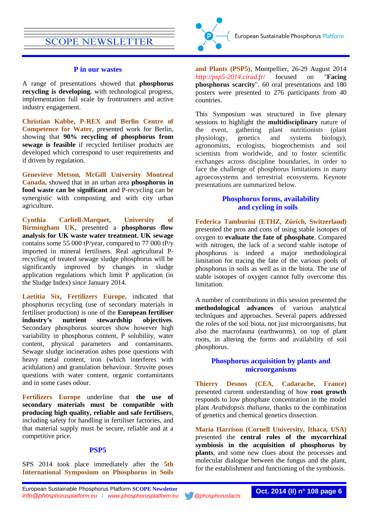### **P in our wastes**

A range of presentations showed that **phosphorus recycling is developing**, with technological progress, implementation full scale by frontrunners and active industry engagement.

**Christian Kabbe, P-REX and Berlin Centre of Competence for Water**, presented work for Berlin, showing that **90% recycling of phosphorus from sewage is feasible** if recycled fertiliser products are developed which correspond to user requirements and if driven by regulation.

**Geneviève Metson, McGill University Montreal Canada,** showed that in an urban area **phosphorus in food waste can be significant** and P-recycling can be synergistic with composting and with city urban agriculture.

**Cynthia Carliell-Marquet, University of Birmingham UK**, presented a **phosphorus flow analysis for UK waste water treatment. UK sewage** contains some 55 000 tP/year, compared to 77 000 tP/y imported in mineral fertilisers. Real agricultural Precycling of treated sewage sludge phosphorus will be significantly improved by changes in sludge application regulations which limit P application (in the Sludge Index) since January 2014.

**Laetitia Six, Fertilizers Europe,** indicated that phosphorus recycling (use of secondary materials in fertiliser production) is one of the **European fertiliser industry's nutrient stewardship objectives**. Secondary phosphorus sources show however high variability in phosphorus content, P solubility, water content, physical parameters and contaminants. Sewage sludge incineration ashes pose questions with heavy metal content, iron (which interferes with acidulation) and granulation behaviour. Struvite poses questions with water content, organic contaminants and in some cases odour.

**Fertilizers Europe** underline that **the use of secondary materials must be compatible with producing high quality, reliable and safe fertilisers**, including safety for handling in fertiliser factories, and that material supply must be secure, reliable and at a competitive price.

#### **PSP5**

SPS 2014 took place immediately after the **5th International Symposium on Phosphorus in Soils** 



**and Plants (PSP5),** Montpellier, 26-29 August 2014 *<http://psp5-2014.cirad.fr/>* focused on "**Facing phosphorus scarcity**". 60 oral presentations and 180 posters were presented to 276 participants from 40 countries.

This Symposium was structured in five plenary sessions to highlight the **multidisciplinary** nature of the event, gathering plant nutritionists (plant physiology, genetics and systems biology), agronomists, ecologists, biogeochemists and soil scientists from worldwide, and to foster scientific exchanges across discipline boundaries, in order to face the challenge of phosphorus limitations in many agroecosystems and terrestrial ecosystems. Keynote presentations are summarized below.

### **Phosphorus forms, availability and cycling in soils**

**Federica Tamburini (ETHZ, Zürich, Switzerland)**  presented the pros and cons of using stable isotopes of oxygen to **evaluate the fate of phosphate**. Compared with nitrogen, the lack of a second stable isotope of phosphorus is indeed a major methodological limitation for tracing the fate of the various pools of phosphorus in soils as well as in the biota. The use of stable isotopes of oxygen cannot fully overcome this limitation.

A number of contributions in this session presented the **methodological advances** of various analytical techniques and approaches. Several papers addressed the roles of the soil biota, not just microorganisms, but also the macrofauna (earthworms), on top of plant roots, in altering the forms and availability of soil phosphorus.

### **Phosphorus acquisition by plants and microorganisms**

**Thierry Desnos (CEA, Cadarache, France)**  presented current understanding of how **root growth** responds to low phosphate concentration in the model plant *Arabidopsis thaliana*, thanks to the combination of genetics and chemical genetics dissection.

**Maria Harrison (Cornell University, Ithaca, USA)** presented the **central roles of the mycorrhizal symbiosis in the acquisition of phosphorus by plants**, and some new clues about the processes and molecular dialogue between the fungus and the plant, for the establishment and functioning of the symbiosis.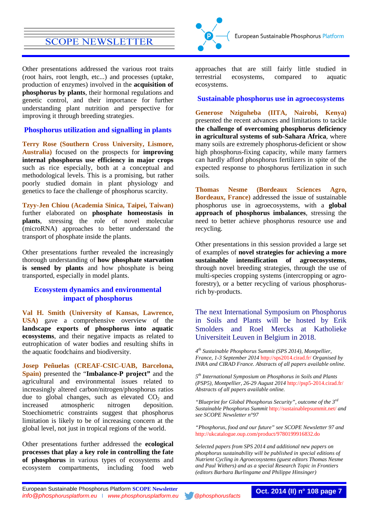Other presentations addressed the various root traits (root hairs, root length, etc...) and processes (uptake, production of enzymes) involved in the **acquisition of phosphorus by plants**, their hormonal regulations and genetic control, and their importance for further understanding plant nutrition and perspective for improving it through breeding strategies.

### **Phosphorus utilization and signalling in plants**

**Terry Rose (Southern Cross University, Lismore, Australia)** focused on the prospects for **improving internal phosphorus use efficiency in major crops** such as rice especially, both at a conceptual and methodological levels. This is a promising, but rather poorly studied domain in plant physiology and genetics to face the challenge of phosphorus scarcity.

**Tzyy-Jen Chiou (Academia Sinica, Taipei, Taiwan)** further elaborated on **phosphate homeostasis in plants**, stressing the role of novel molecular (microRNA) approaches to better understand the transport of phosphate inside the plants.

Other presentations further revealed the increasingly thorough understanding of **how phosphate starvation is sensed by plants** and how phosphate is being transported, especially in model plants.

### **Ecosystem dynamics and environmental impact of phosphorus**

**Val H. Smith (University of Kansas, Lawrence, USA)** gave a comprehensive overview of the **landscape exports of phosphorus into aquatic ecosystems**, and their negative impacts as related to eutrophication of water bodies and resulting shifts in the aquatic foodchains and biodiversity.

**Josep Peñuelas (CREAF-CSIC-UAB, Barcelona, Spain)** presented the "**Imbalance-P project"** and the agricultural and environmental issues related to increasingly altered carbon/nitrogen/phosphorus ratios due to global changes, such as elevated  $CO<sub>2</sub>$  and increased atmospheric nitrogen deposition. Stoechiometric constraints suggest that phosphorus limitation is likely to be of increasing concern at the global level, not just in tropical regions of the world.

Other presentations further addressed the **ecological processes that play a key role in controlling the fate of phosphorus** in various types of ecosystems and ecosystem compartments, including food web



approaches that are still fairly little studied in terrestrial ecosystems, compared to aquatic ecosystems.

### **Sustainable phosphorus use in agroecosystems**

**Generose Nziguheba (IITA, Nairobi, Kenya)** presented the recent advances and limitations to tackle **the challenge of overcoming phosphorus deficiency in agricultural systems of sub-Sahara Africa**, where many soils are extremely phosphorus-deficient or show high phosphorus-fixing capacity, while many farmers can hardly afford phosphorus fertilizers in spite of the expected response to phosphorus fertilization in such soils.

**Thomas Nesme (Bordeaux Sciences Agro, Bordeaux, France)** addressed the issue of sustainable phosphorus use in agroecosystems, with a **global approach of phosphorus imbalances**, stressing the need to better achieve phosphorus resource use and recycling.

Other presentations in this session provided a large set of examples of **novel strategies for achieving a more sustainable intensification of agroecosystems**, through novel breeding strategies, through the use of multi-species cropping systems (intercropping or agroforestry), or a better recycling of various phosphorusrich by-products.

### The next International Symposium on Phosphorus in Soils and Plants will be hosted by Erik Smolders and Roel Mercks at Katholieke Universiteit Leuven in Belgium in 2018.

*4th Sustainable Phosphorus Summit (SPS 2014), Montpellier, France, 1-3 September 2014* <http://sps2014.cirad.fr/> *Organised by INRA and CIRAD France. Abstracts of all papers available online.*

*5th International Symposium on Phosphorus in Soils and Plants (PSP5), Montpellier, 26-29 August 2014* <http://psp5-2014.cirad.fr/> *Abstracts of all papers available online.*

*"Blueprint for Global Phosphorus Security", outcome of the 3rd Sustainable Phosphorus Summit* <http://sustainablepsummit.net/> *and see SCOPE Newsletter n°97*

*"Phosphorus, food and our future" see SCOPE Newsletter 97 and*  <http://ukcatalogue.oup.com/product/9780199916832.do>

*Selected papers from SPS 2014 and additional new papers on phosphorus sustainability will be published in special editions of Nutrient Cycling in Agroecosystems (guest editors Thomas Nesme and Paul Withers) and as a special Research Topic in Frontiers (editors Barbara Burlingame and Philippe Hinsinger)*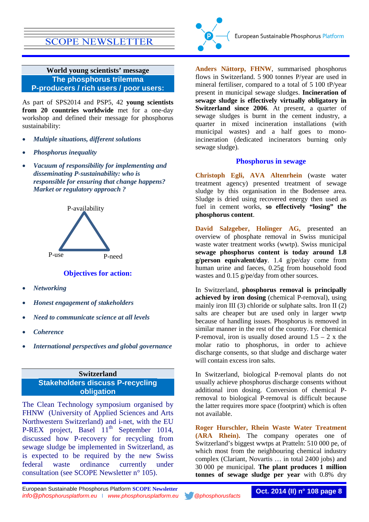<span id="page-7-0"></span>**World young scientists' message The phosphorus trilemma P-producers / rich users / poor users:**

As part of SPS2014 and PSP5, 42 **young scientists from 20 countries worldwide** met for a one-day workshop and defined their message for phosphorus sustainability:

- *Multiple situations, different solutions*
- *Phosphorus inequality*
- *Vacuum of responsibility for implementing and disseminating P-sustainability: who is responsible for ensuring that change happens? Market or regulatory approach ?*



**Objectives for action:**

- *Networking*
- *Honest engagement of stakeholders*
- *Need to communicate science at all levels*
- *Coherence*
- *International perspectives and global governance*

<span id="page-7-1"></span>**Switzerland Stakeholders discuss P-recycling obligation**

The Clean Technology symposium organised by FHNW (University of Applied Sciences and Arts Northwestern Switzerland) and i-net, with the EU P-REX project, Basel  $11<sup>th</sup>$  September 1014, discussed how P-recovery for recycling from sewage sludge be implemented in Switzerland, as is expected to be required by the new Swiss federal waste ordinance currently under consultation (see SCOPE Newsletter n° 105).



**Anders Nättorp, FHNW**, summarised phosphorus flows in Switzerland. 5 900 tonnes P/year are used in mineral fertiliser, compared to a total of 5 100 tP/year present in municipal sewage sludges. **Incineration of sewage sludge is effectively virtually obligatory in Switzerland since 2006**. At present, a quarter of sewage sludges is burnt in the cement industry, a quarter in mixed incineration installations (with municipal wastes) and a half goes to monoincineration (dedicated incinerators burning only sewage sludge).

### **Phosphorus in sewage**

**Christoph Egli, AVA Altenrhein** (waste water treatment agency) presented treatment of sewage sludge by this organisation in the Bodensee area. Sludge is dried using recovered energy then used as fuel in cement works, **so effectively "losing" the phosphorus content**.

**David Salzgeber, Holinger AG,** presented an overview of phosphate removal in Swiss municipal waste water treatment works (wwtp). Swiss municipal **sewage phosphorus content is today around 1.8 g/person equivalent/day**. 1.4 g/pe/day come from human urine and faeces, 0.25g from household food wastes and 0.15 g/pe/day from other sources.

In Switzerland, **phosphorus removal is principally achieved by iron dosing** (chemical P-removal), using mainly iron III (3) chloride or sulphate salts. Iron II (2) salts are cheaper but are used only in larger wwtp because of handling issues. Phosphorus is removed in similar manner in the rest of the country. For chemical P-removal, iron is usually dosed around  $1.5 - 2x$  the molar ratio to phosphorus, in order to achieve discharge consents, so that sludge and discharge water will contain excess iron salts.

In Switzerland, biological P-removal plants do not usually achieve phosphorus discharge consents without additional iron dosing. Conversion of chemical Premoval to biological P-removal is difficult because the latter requires more space (footprint) which is often not available.

**Roger Hurschler, Rhein Waste Water Treatment (ARA Rhein).** The company operates one of Switzerland's biggest wwtps at Pratteln: 510 000 pe, of which most from the neighbouring chemical industry complex (Clariant, Novartis … in total 2400 jobs) and 30 000 pe municipal. **The plant produces 1 million tonnes of sewage sludge per year** with 0.8% dry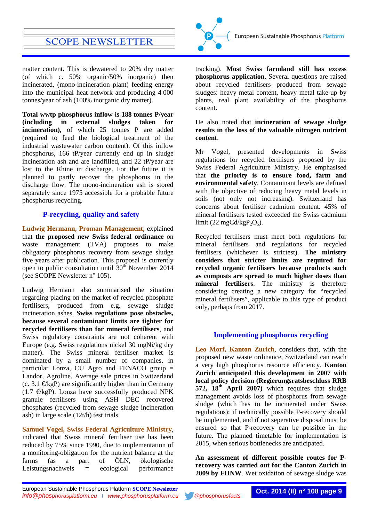matter content. This is dewatered to 20% dry matter (of which c. 50% organic/50% inorganic) then incinerated, (mono-incineration plant) feeding energy into the municipal heat network and producing 4 000 tonnes/year of ash (100% inorganic dry matter).

**Total wwtp phosphorus inflow is 188 tonnes P/year (including in external sludges taken for incineration),** of which 25 tonnes P are added (required to feed the biological treatment of the industrial wastewater carbon content). Of this inflow phosphorus, 166 tP/year currently end up in sludge incineration ash and are landfilled, and 22 tP/year are lost to the Rhine in discharge. For the future it is planned to partly recover the phosphorus in the discharge flow. The mono-incineration ash is stored separately since 1975 accessible for a probable future phosphorus recycling.

### **P-recycling, quality and safety**

**Ludwig Hermann, Proman Management**, explained that **the proposed new Swiss federal ordinance** on waste management (TVA) proposes to make obligatory phosphorus recovery from sewage sludge five years after publication. This proposal is currently open to public consultation until  $30<sup>th</sup>$  November 2014 (see SCOPE Newsletter n° 105).

Ludwig Hermann also summarised the situation regarding placing on the market of recycled phosphate fertilisers, produced from e.g. sewage sludge incineration ashes. **Swiss regulations pose obstacles, because several contaminant limits are tighter for recycled fertilisers than for mineral fertilisers**, and Swiss regulatory constraints are not coherent with Europe (e.g. Swiss regulations nickel 30 mgNi/kg dry matter). The Swiss mineral fertiliser market is dominated by a small number of companies, in particular Lonza, CU Agro and FENACO group = Landor, Agroline. Average sale prices in Switzerland (c. 3.1  $\mathcal{C}$ kgP) are significantly higher than in Germany  $(1.7 \text{ EkgP})$ . Lonza have successfully produced NPK granule fertilisers using ASH DEC recovered phosphates (recycled from sewage sludge incineration ash) in large scale (12t/h) test trials.

**Samuel Vogel, Swiss Federal Agriculture Ministry**, indicated that Swiss mineral fertiliser use has been reduced by 75% since 1990, due to implementation of a monitoring-obligation for the nutrient balance at the farms (as a part of ÖLN, ökologische farms (as a part of ÖLN, ökologische Leistungsnachweis = ecological performance



tracking). **Most Swiss farmland still has excess phosphorus application**. Several questions are raised about recycled fertilisers produced from sewage sludges: heavy metal content, heavy metal take-up by plants, real plant availability of the phosphorus content.

He also noted that **incineration of sewage sludge results in the loss of the valuable nitrogen nutrient content**.

Mr Vogel, presented developments in Swiss regulations for recycled fertilisers proposed by the Swiss Federal Agriculture Ministry. He emphasised that **the priority is to ensure food, farm and environmental safety**. Contaminant levels are defined with the objective of reducing heavy metal levels in soils (not only not increasing). Switzerland has concerns about fertiliser cadmium content. 45% of mineral fertilisers tested exceeded the Swiss cadmium limit (22 mgCd/kgP<sub>2</sub>O<sub>5</sub>).

Recycled fertilisers must meet both regulations for mineral fertilisers and regulations for recycled fertilisers (whichever is strictest). **The ministry considers that stricter limits are required for recycled organic fertilisers because products such as composts are spread to much higher doses than mineral fertilisers**. The ministry is therefore considering creating a new category for "recycled mineral fertilisers", applicable to this type of product only, perhaps from 2017.

### **Implementing phosphorus recycling**

**Leo Morf, Kanton Zurich**, considers that, with the proposed new waste ordinance, Switzerland can reach a very high phosphorus resource efficiency. **Kanton Zurich anticipated this development in 2007 with local policy decision (Regierungsratsbeschluss RRB 572, 18th April 2007)** which requires that sludge management avoids loss of phosphorus from sewage sludge (which has to be incinerated under Swiss regulations): if technically possible P-recovery should be implemented, and if not seperative disposal must be ensured so that P-recovery can be possible in the future. The planned timetable for implementation is 2015, when serious bottlenecks are anticipated.

**An assessment of different possible routes for Precovery was carried out for the Canton Zurich in 2009 by FHNW**. Wet oxidation of sewage sludge was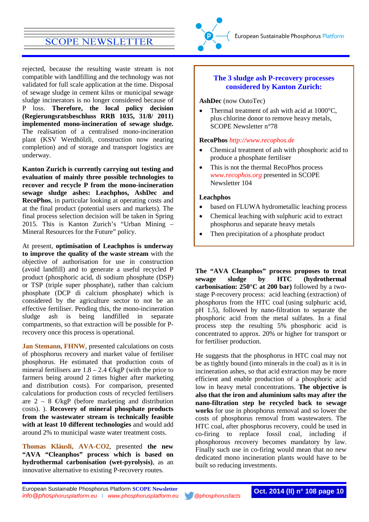rejected, because the resulting waste stream is not compatible with landfilling and the technology was not validated for full scale application at the time. Disposal of sewage sludge in cement kilns or municipal sewage sludge incinerators is no longer considered because of P loss. **Therefore, the local policy decision (Regierungsratsbeschluss RRB 1035, 31/8/ 2011) implemented mono-incineration of sewage sludge.**  The realisation of a centralised mono-incineration plant (KSV Werdhölzli, construction now nearing completion) and of storage and transport logistics are underway.

**Kanton Zurich is currently carrying out testing and evaluation of mainly three possible technologies to recover and recycle P from the mono-incineration sewage sludge ashes: Leachphos, AshDec and RecoPhos**, in particular looking at operating costs and at the final product (potential users and markets). The final process selection decision will be taken in Spring 2015. This is Kanton Zurich's "Urban Mining – Mineral Resources for the Future" policy.

At present, **optimisation of Leachphos is underway to improve the quality of the waste stream** with the objective of authorisation for use in construction (avoid landfill) and to generate a useful recycled P product (phosphoric acid, di sodium phosphate (DSP) or TSP (triple super phosphate), rather than calcium phosphate (DCP di calcium phosphate) which is considered by the agriculture sector to not be an effective fertiliser. Pending this, the mono-incineration sludge ash is being landfilled in separate compartments, so that extraction will be possible for Precovery once this process is operational.

**Jan Stemann, FHNW**, presented calculations on costs of phosphorus recovery and market value of fertiliser phosphorus. He estimated that production costs of mineral fertilisers are  $1.8 - 2.4 \text{ EkgP}$  (with the price to farmers being around 2 times higher after marketing and distribution costs). For comparison, presented calculations for production costs of recycled fertilisers are  $2 - 8 \in \text{KgP}$  (before marketing and distribution costs). ). **Recovery of mineral phosphate products from the wastewater stream is technically feasible with at least 10 different technologies** and would add around 2% to municipal waste water treatment costs.

**Thomas Kläusli, AVA-CO2**, presented **the new "AVA "Cleanphos" process which is based on hydrothermal carbonisation (wet-pyrolysis)**, as an innovative alternative to existing P-recovery routes.



### **The 3 sludge ash P-recovery processes considered by Kanton Zurich:**

**AshDec** (now OutoTec)

• Thermal treatment of ash with acid at 1000°C, plus chlorine donor to remove heavy metals, SCOPE Newsletter n°78

### **RecoPhos** *[http://www.recophos.de](http://www.recophos.de/)*

- Chemical treatment of ash with phosphoric acid to produce a phosphate fertiliser
- This is not the thermal RecoPhos process *[www.recophos.org](http://www.recophos.org/)* presented in SCOPE Newsletter 104

### **Leachphos**

- based on FLUWA hydrometallic leaching process
- Chemical leaching with sulphuric acid to extract phosphorus and separate heavy metals
- Then precipitation of a phosphate product

**The "AVA Cleanphos" process proposes to treat sewage sludge by HTC (hydrothermal carbonisation: 250°C at 200 bar)** followed by a twostage P-recovery process: acid leaching (extraction) of phosphorus from the HTC coal (using sulphuric acid, pH 1.5), followed by nano-filtration to separate the phosphoric acid from the metal sulfates. In a final process step the resulting 5% phosphoric acid is concentrated to approx. 20% or higher for transport or for fertiliser production.

He suggests that the phosphorus in HTC coal may not be as tightly bound (into minerals in the coal) as it is in incineration ashes, so that acid extraction may be more efficient and enable production of a phosphoric acid low in heavy metal concentrations. **The objective is also that the iron and aluminium salts may after the nano-filtration step be recycled back to sewage works** for use in phosphorus removal and so lower the costs of phosphorus removal from wastewaters. The HTC coal, after phosphorus recovery, could be used in co-firing to replace fossil coal, including if phosphorous recovery becomes mandatory by law. Finally such use in co-firing would mean that no new dedicated mono incineration plants would have to be built so reducing investments.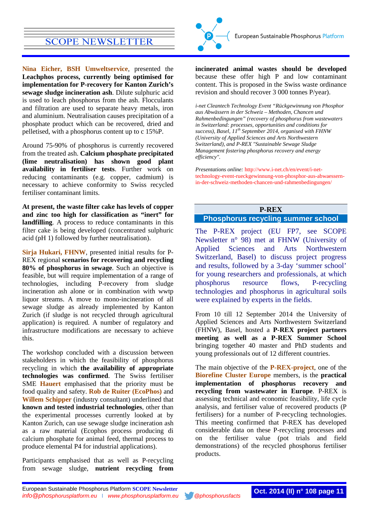**Nina Eicher, BSH Umweltservice**, presented the **Leachphos process, currently being optimised for implementation for P-recovery for Kanton Zurich's sewage sludge incineration ash**. Dilute sulphuric acid is used to leach phosphorus from the ash. Flocculants and filtration are used to separate heavy metals, iron and aluminium. Neutralisation causes precipitation of a phosphate product which can be recovered, dried and pelletised, with a phosphorus content up to c 15%P.

Around 75-90% of phosphorus is currently recovered from the treated ash. **Calcium phosphate precipitated (lime neutralisation) has shown good plant availability in fertiliser tests**. Further work on reducing contaminants (e.g. copper, cadmium) is necessary to achieve conformity to Swiss recycled fertiliser contaminant limits.

**At present, the waste filter cake has levels of copper and zinc too high for classification as "inert" for landfilling**. A process to reduce contaminants in this filter cake is being developed (concentrated sulphuric acid (pH 1) followed by further neutralisation).

**Sirja Hukari, FHNW**, presented initial results for P-REX regional **scenarios for recovering and recycling 80% of phosphorus in sewage**. Such an objective is feasible, but will require implementation of a range of technologies, including P-recovery from sludge incineration ash alone or in combination with wwtp liquor streams. A move to mono-incineration of all sewage sludge as already implemented by Kanton Zurich (if sludge is not recycled through agricultural application) is required. A number of regulatory and infrastructure modifications are necessary to achieve this.

The workshop concluded with a discussion between stakeholders in which the feasibility of phosphorus recycling in which **the availability of appropriate technologies was confirmed**. The Swiss fertiliser SME **Hauert** emphasised that the priority must be food quality and safety. **Rob de Ruiter (EcoPhos)** and **Willem Schipper** (industry consultant) underlined that **known and tested industrial technologies**, other than the experimental processes currently looked at by Kanton Zurich, can use sewage sludge incineration ash as a raw material (Ecophos process producing di calcium phosphate for animal feed, thermal process to produce elemental P4 for industrial applications).

Participants emphasised that as well as P-recycling from sewage sludge, **nutrient recycling from** 



**incinerated animal wastes should be developed**  because these offer high P and low contaminant content. This is proposed in the Swiss waste ordinance revision and should recover 3 000 tonnes P/year).

*i-net Cleantech Technology Event "Rückgewinnung von Phosphor aus Abwässern in der Schweiz – Methoden, Chancen und Rahmenbedingungen" (recovery of phosphorus from wastewaters in Switzerland: processes, opportunities and conditions for success), Basel, 11th September 2014, organised with FHNW (University of Applied Sciences and Arts Northwestern Switzerland), and P-REX "Sustainable Sewage Sludge Management fostering phosphorus recovery and energy efficiency".*

*Presentations online:* [http://www.i-net.ch/en/event/i-net](http://www.i-net.ch/en/event/i-net-technology-event-rueckgewinnung-von-phosphor-aus-abwaessern-in-der-schweiz-methoden-chancen-und-rahmenbedingungen/)[technology-event-rueckgewinnung-von-phosphor-aus-abwaessern](http://www.i-net.ch/en/event/i-net-technology-event-rueckgewinnung-von-phosphor-aus-abwaessern-in-der-schweiz-methoden-chancen-und-rahmenbedingungen/)[in-der-schweiz-methoden-chancen-und-rahmenbedingungen/](http://www.i-net.ch/en/event/i-net-technology-event-rueckgewinnung-von-phosphor-aus-abwaessern-in-der-schweiz-methoden-chancen-und-rahmenbedingungen/)

### **P-REX**

### <span id="page-10-0"></span>**Phosphorus recycling summer school**

The P-REX project (EU FP7, see SCOPE Newsletter n° 98) met at FHNW (University of Applied Sciences and Arts Northwestern Switzerland, Basel) to discuss project progress and results, followed by a 3-day 'summer school' for young researchers and professionals, at which phosphorus resource flows, P-recycling technologies and phosphorus in agricultural soils were explained by experts in the fields.

From 10 till 12 September 2014 the University of Applied Sciences and Arts Northwestern Switzerland (FHNW), Basel, hosted a **P-REX project partners meeting as well as a P-REX Summer School**  bringing together 40 master and PhD students and young professionals out of 12 different countries.

The main objective of the **P-REX-project**, one of the **Biorefine Cluster Europe** members, is the **practical implementation of phosphorus recovery and recycling from wastewater in Europe**. P-REX is assessing technical and economic feasibility, life cycle analysis, and fertiliser value of recovered products (P fertilisers) for a number of P-recycling technologies. This meeting confirmed that P-REX has developed considerable data on these P-recycling processes and on the fertiliser value (pot trials and field demonstrations) of the recycled phosphorus fertiliser products.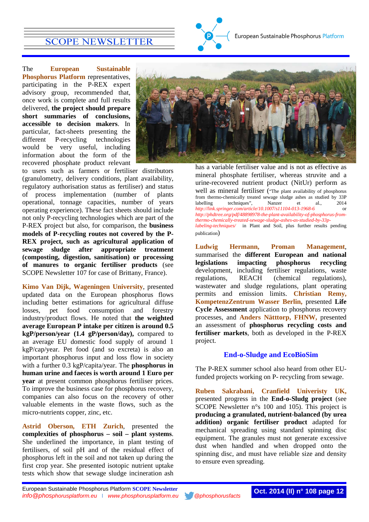The **European Sustainable Phosphorus Platform** representatives, participating in the P-REX expert advisory group, recommended that, once work is complete and full results delivered, **the project should prepare short summaries of conclusions, accessible to decision makers**. In particular, fact-sheets presenting the different P-recycling technologies would be very useful, including information about the form of the recovered phosphate product relevant



to users such as farmers or fertiliser distributors (granulometry, delivery conditions, plant availability, regulatory authorisation status as fertiliser) and status of process implementation (number of plants operational, tonnage capacities, number of years operating experience). These fact sheets should include not only P-recycling technologies which are part of the P-REX project but also, for comparison, the **business models of P-recycling routes not covered by the P-REX project, such as agricultural application of sewage sludge after appropriate treatment (composting, digestion, sanitisation) or processing of manures to organic fertiliser products** (see SCOPE Newsletter 107 for case of Brittany, France).

**Kimo Van Dijk, Wageningen University**, presented updated data on the European phosphorus flows including better estimations for agricultural diffuse losses, pet food consumption and forestry industry/product flows. He noted that **the weighted average European P intake per citizen is around 0.5 kgP/person/year (1.4 gP/person/day),** compared to an average EU domestic food supply of around 1 kgP/cap/year. Pet food (and so excreta) is also an important phosphorus input and loss flow in society with a further 0.3 kgP/capita/year. The **phosphorus in human urine and faeces is worth around 1 Euro per year** at present common phosphorus fertiliser prices. To improve the business case for phosphorus recovery, companies can also focus on the recovery of other valuable elements in the waste flows, such as the micro-nutrients copper, zinc, etc.

**Astrid Oberson, ETH Zurich**, presented the **complexities of phosphorus – soil – plant systems**. She underlined the importance, in plant testing of fertilisers, of soil pH and of the residual effect of phosphorus left in the soil and not taken up during the first crop year. She presented isotopic nutrient uptake tests which show that sewage sludge incineration ash

has a variable fertiliser value and is not as effective as mineral phosphate fertiliser, whereas struvite and a urine-recovered nutrient product (NitUr) perform as well as mineral fertiliser ("The plant availability of phosphorus from thermo-chemically treated sewage sludge ashes as studied by 33P labelling techniques", Nanzer et al., 2014 *<http://link.springer.com/article/10.1007/s11104-013-1968-6>* or *[http://phdtree.org/pdf/48898978-the-plant-availability-of-phosphorus-from](http://phdtree.org/pdf/48898978-the-plant-availability-of-phosphorus-from-thermo-chemically-treated-sewage-sludge-ashes-as-studied-by-33p-labeling-techniques/)[thermo-chemically-treated-sewage-sludge-ashes-as-studied-by-33p](http://phdtree.org/pdf/48898978-the-plant-availability-of-phosphorus-from-thermo-chemically-treated-sewage-sludge-ashes-as-studied-by-33p-labeling-techniques/)[labeling-techniques/](http://phdtree.org/pdf/48898978-the-plant-availability-of-phosphorus-from-thermo-chemically-treated-sewage-sludge-ashes-as-studied-by-33p-labeling-techniques/)* in Plant and Soil, plus further results pending publication)

**Ludwig Hermann, Proman Management**, summarised the **different European and national legislations impacting phosphorus recycling** development, including fertiliser regulations, waste regulations, REACH (chemical regulations), wastewater and sludge regulations, plant operating permits and emission limits. **Christian Remy, KompetenzZentrum Wasser Berlin,** presented **Life Cycle Assessment** application to phosphorus recovery processes, and **Anders Nätttorp, FHNW,** presented an assessment of **phosphorus recycling costs and fertiliser markets**, both as developed in the P-REX project.

### **End-o-Sludge and EcoBioSim**

The P-REX summer school also heard from other EUfunded projects working on P- recycling from sewage.

**Ruben Sakrabani, Cranfield Univeristy UK,** presented progress in the **End-o-Sludg project** (see SCOPE Newsletter n°s 100 and 105). This project is **producing a granulated, nutrient-balanced (by urea addition) organic fertiliser product** adapted for mechanical spreading using standard spinning disc equipment. The granules must not generate excessive dust when handled and when dropped onto the spinning disc, and must have reliable size and density to ensure even spreading.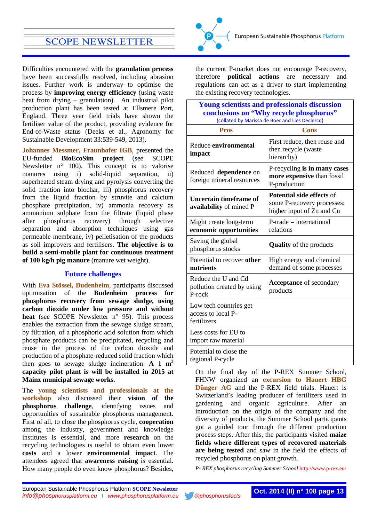Difficulties encountered with the **granulation process** have been successfully resolved, including abrasion issues. Further work is underway to optimise the process by **improving energy efficiency** (using waste heat from drying – granulation). An industrial pilot production plant has been tested at Ellsmere Port, England. Three year field trials have shown the fertiliser value of the product, providing evidence for End-of-Waste status (Deeks et al., Agronomy for Sustainable Development 33:539-549, 2013).

**Johannes Messmer, Fraunhofer IGB**, presented the EU-funded **BioEcoSim project** (see SCOPE Newsletter n° 100). This concept is to valorise manures using i) solid-liquid separation, ii) superheated steam drying and pyrolysis converting the solid fraction into biochar, iii) phosphorus recovery from the liquid fraction by struvite and calcium phosphate precipitation, iv) ammonia recovery as ammonium sulphate from the filtrate (liquid phase after phosphorus recovery) through selective separation and absorption techniques using gas permeable membrane, iv) pelletisation of the products as soil improvers and fertilisers. **The objective is to build a semi-mobile plant for continuous treatment of 100 kg/h pig manure** (manure wet weight).

### **Future challenges**

With **Eva Stössel, Budenheim**, participants discussed optimisation of the **Budenheim process for phosphorus recovery from sewage sludge, using carbon dioxide under low pressure and without heat** (see SCOPE Newsletter n° 95). This process enables the extraction from the sewage sludge stream, by filtration, of a phosphoric acid solution from which phosphate products can be precipitated, recycling and reuse in the process of the carbon dioxide and production of a phosphate-reduced solid fraction which then goes to sewage sludge incineration.  $A \cdot 1 \cdot m^3$ **capacity pilot plant is will be installed in 2015 at Mainz municipal sewage works.**

The **young scientists and professionals at the workshop** also discussed their **vision of the phosphorus challenge**, identifying issues and opportunities of sustainable phosphorus management. First of all, to close the phosphorus cycle, **cooperation** among the industry, government and knowledge institutes is essential, and more **research** on the recycling technologies is useful to obtain even lower **costs** and a lower **environmental impact**. The attendees agreed that **awareness raising** is essential. How many people do even know phosphorus? Besides,



the current P-market does not encourage P-recovery, therefore **political actions** are necessary and regulations can act as a driver to start implementing the existing recovery technologies.

| <b>Young scientists and professionals discussion</b><br>conclusions on "Why recycle phosphorus"<br>(collated by Marissa de Boer and Lies Declercq) |                                                                                             |
|----------------------------------------------------------------------------------------------------------------------------------------------------|---------------------------------------------------------------------------------------------|
| <b>Pros</b>                                                                                                                                        | Cons                                                                                        |
| Reduce environmental<br>impact                                                                                                                     | First reduce, then reuse and<br>then recycle (waste<br>hierarchy)                           |
| Reduced dependence on<br>foreign mineral resources                                                                                                 | P-recycling is in many cases<br>more expensive than fossil<br>P-production                  |
| Uncertain timeframe of<br>availability of mined P                                                                                                  | <b>Potential side effects of</b><br>some P-recovery processes:<br>higher input of Zn and Cu |
| Might create long-term<br>economic opportunities                                                                                                   | $P\text{-trade} = international$<br>relations                                               |
| Saving the global<br>phosphorus stocks                                                                                                             | <b>Quality</b> of the products                                                              |
| Potential to recover other<br>nutrients                                                                                                            | High energy and chemical<br>demand of some processes                                        |
| Reduce the U and Cd<br>pollution created by using<br>P-rock                                                                                        | <b>Acceptance</b> of secondary<br>products                                                  |
| Low tech countries get<br>access to local P-<br>fertilizers                                                                                        |                                                                                             |
| Less costs for EU to<br>import raw material                                                                                                        |                                                                                             |
| Potential to close the<br>regional P-cycle                                                                                                         |                                                                                             |

On the final day of the P-REX Summer School, FHNW organized an **excursion to Hauert HBG Dünger AG** and the P-REX field trials. Hauert is Switzerland's leading producer of fertilizers used in gardening and organic agriculture. After an introduction on the origin of the company and the diversity of products, the Summer School participants got a guided tour through the different production process steps. After this, the participants visited **maize fields where different types of recovered materials are being tested** and saw in the field the effects of recycled phosphorus on plant growth.

*P- REX phosphorus recycling Summer School* <http://www.p-rex.eu/>